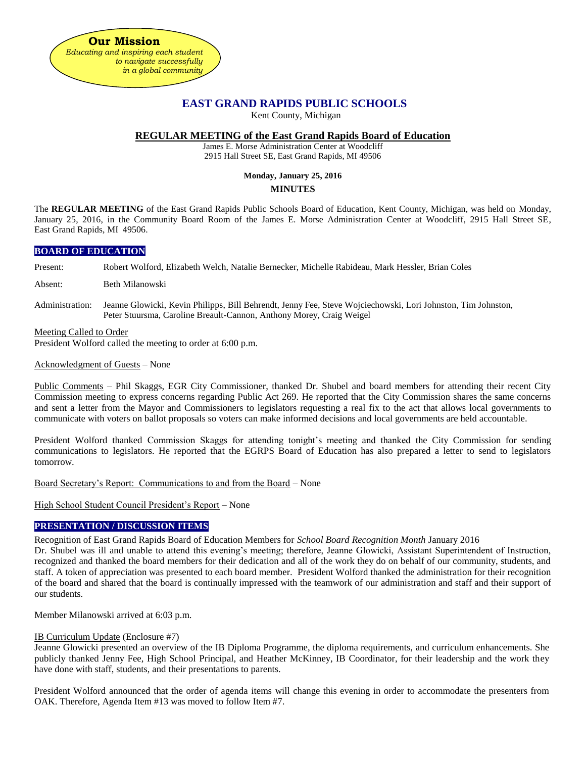

# **EAST GRAND RAPIDS PUBLIC SCHOOLS**

Kent County, Michigan

# **REGULAR MEETING of the East Grand Rapids Board of Education**

James E. Morse Administration Center at Woodcliff 2915 Hall Street SE, East Grand Rapids, MI 49506

# **Monday, January 25, 2016**

# **MINUTES**

The **REGULAR MEETING** of the East Grand Rapids Public Schools Board of Education, Kent County, Michigan, was held on Monday, January 25, 2016, in the Community Board Room of the James E. Morse Administration Center at Woodcliff, 2915 Hall Street SE, East Grand Rapids, MI 49506.

# **BOARD OF EDUCATION**

Present: Robert Wolford, Elizabeth Welch, Natalie Bernecker, Michelle Rabideau, Mark Hessler, Brian Coles

Absent: Beth Milanowski

Administration: Jeanne Glowicki, Kevin Philipps, Bill Behrendt, Jenny Fee, Steve Wojciechowski, Lori Johnston, Tim Johnston, Peter Stuursma, Caroline Breault-Cannon, Anthony Morey, Craig Weigel

Meeting Called to Order

President Wolford called the meeting to order at 6:00 p.m.

Acknowledgment of Guests – None

Public Comments – Phil Skaggs, EGR City Commissioner, thanked Dr. Shubel and board members for attending their recent City Commission meeting to express concerns regarding Public Act 269. He reported that the City Commission shares the same concerns and sent a letter from the Mayor and Commissioners to legislators requesting a real fix to the act that allows local governments to communicate with voters on ballot proposals so voters can make informed decisions and local governments are held accountable.

President Wolford thanked Commission Skaggs for attending tonight's meeting and thanked the City Commission for sending communications to legislators. He reported that the EGRPS Board of Education has also prepared a letter to send to legislators tomorrow.

Board Secretary's Report: Communications to and from the Board – None

High School Student Council President's Report – None

# **PRESENTATION / DISCUSSION ITEMS**

Recognition of East Grand Rapids Board of Education Members for *School Board Recognition Month* January 2016

Dr. Shubel was ill and unable to attend this evening's meeting; therefore, Jeanne Glowicki, Assistant Superintendent of Instruction, recognized and thanked the board members for their dedication and all of the work they do on behalf of our community, students, and staff. A token of appreciation was presented to each board member. President Wolford thanked the administration for their recognition of the board and shared that the board is continually impressed with the teamwork of our administration and staff and their support of our students.

Member Milanowski arrived at 6:03 p.m.

# IB Curriculum Update (Enclosure #7)

Jeanne Glowicki presented an overview of the IB Diploma Programme, the diploma requirements, and curriculum enhancements. She publicly thanked Jenny Fee, High School Principal, and Heather McKinney, IB Coordinator, for their leadership and the work they have done with staff, students, and their presentations to parents.

President Wolford announced that the order of agenda items will change this evening in order to accommodate the presenters from OAK. Therefore, Agenda Item #13 was moved to follow Item #7.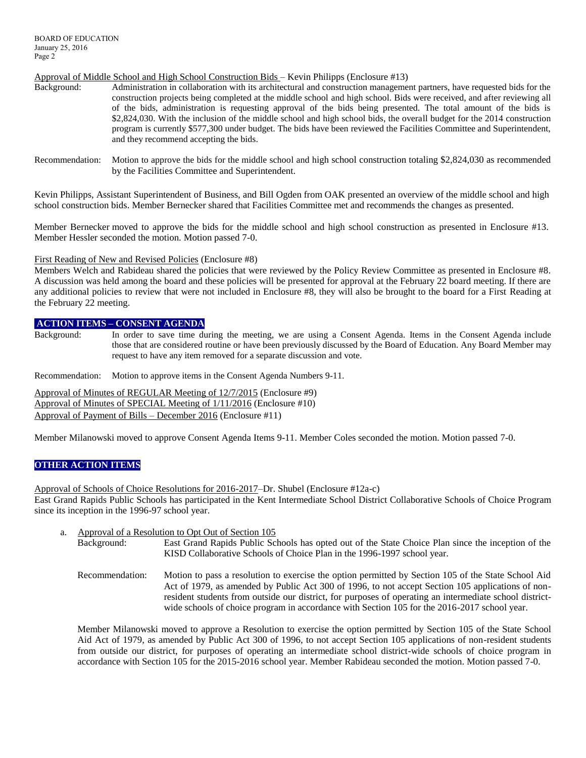# Approval of Middle School and High School Construction Bids – Kevin Philipps (Enclosure #13)

- Background: Administration in collaboration with its architectural and construction management partners, have requested bids for the construction projects being completed at the middle school and high school. Bids were received, and after reviewing all of the bids, administration is requesting approval of the bids being presented. The total amount of the bids is \$2,824,030. With the inclusion of the middle school and high school bids, the overall budget for the 2014 construction program is currently \$577,300 under budget. The bids have been reviewed the Facilities Committee and Superintendent, and they recommend accepting the bids.
- Recommendation: Motion to approve the bids for the middle school and high school construction totaling \$2,824,030 as recommended by the Facilities Committee and Superintendent.

Kevin Philipps, Assistant Superintendent of Business, and Bill Ogden from OAK presented an overview of the middle school and high school construction bids. Member Bernecker shared that Facilities Committee met and recommends the changes as presented.

Member Bernecker moved to approve the bids for the middle school and high school construction as presented in Enclosure #13. Member Hessler seconded the motion. Motion passed 7-0.

First Reading of New and Revised Policies (Enclosure #8)

Members Welch and Rabideau shared the policies that were reviewed by the Policy Review Committee as presented in Enclosure #8. A discussion was held among the board and these policies will be presented for approval at the February 22 board meeting. If there are any additional policies to review that were not included in Enclosure #8, they will also be brought to the board for a First Reading at the February 22 meeting.

# **ACTION ITEMS – CONSENT AGENDA**

Background: In order to save time during the meeting, we are using a Consent Agenda. Items in the Consent Agenda include those that are considered routine or have been previously discussed by the Board of Education. Any Board Member may request to have any item removed for a separate discussion and vote.

Recommendation: Motion to approve items in the Consent Agenda Numbers 9-11.

Approval of Minutes of REGULAR Meeting of 12/7/2015 (Enclosure #9) Approval of Minutes of SPECIAL Meeting of 1/11/2016 (Enclosure #10) Approval of Payment of Bills – December 2016 (Enclosure #11)

Member Milanowski moved to approve Consent Agenda Items 9-11. Member Coles seconded the motion. Motion passed 7-0.

# **OTHER ACTION ITEMS**

Approval of Schools of Choice Resolutions for 2016-2017–Dr. Shubel (Enclosure #12a-c) East Grand Rapids Public Schools has participated in the Kent Intermediate School District Collaborative Schools of Choice Program since its inception in the 1996-97 school year.

- a. Approval of a Resolution to Opt Out of Section 105
	- Background: East Grand Rapids Public Schools has opted out of the State Choice Plan since the inception of the KISD Collaborative Schools of Choice Plan in the 1996-1997 school year.
	- Recommendation: Motion to pass a resolution to exercise the option permitted by Section 105 of the State School Aid Act of 1979, as amended by Public Act 300 of 1996, to not accept Section 105 applications of nonresident students from outside our district, for purposes of operating an intermediate school districtwide schools of choice program in accordance with Section 105 for the 2016-2017 school year.

Member Milanowski moved to approve a Resolution to exercise the option permitted by Section 105 of the State School Aid Act of 1979, as amended by Public Act 300 of 1996, to not accept Section 105 applications of non-resident students from outside our district, for purposes of operating an intermediate school district-wide schools of choice program in accordance with Section 105 for the 2015-2016 school year. Member Rabideau seconded the motion. Motion passed 7-0.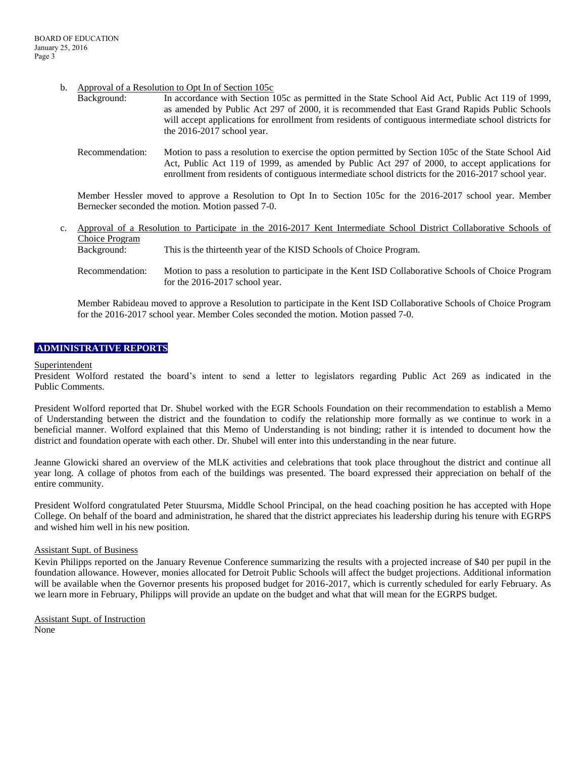### b. Approval of a Resolution to Opt In of Section 105c

| Background: | In accordance with Section 105c as permitted in the State School Aid Act, Public Act 119 of 1999,      |
|-------------|--------------------------------------------------------------------------------------------------------|
|             | as amended by Public Act 297 of 2000, it is recommended that East Grand Rapids Public Schools          |
|             | will accept applications for enrollment from residents of contiguous intermediate school districts for |
|             | the $2016-2017$ school year.                                                                           |
|             |                                                                                                        |

Recommendation: Motion to pass a resolution to exercise the option permitted by Section 105c of the State School Aid Act, Public Act 119 of 1999, as amended by Public Act 297 of 2000, to accept applications for enrollment from residents of contiguous intermediate school districts for the 2016-2017 school year.

Member Hessler moved to approve a Resolution to Opt In to Section 105c for the 2016-2017 school year. Member Bernecker seconded the motion. Motion passed 7-0.

- c. Approval of a Resolution to Participate in the 2016-2017 Kent Intermediate School District Collaborative Schools of Choice Program Background: This is the thirteenth year of the KISD Schools of Choice Program.
	- Recommendation: Motion to pass a resolution to participate in the Kent ISD Collaborative Schools of Choice Program for the 2016-2017 school year.

Member Rabideau moved to approve a Resolution to participate in the Kent ISD Collaborative Schools of Choice Program for the 2016-2017 school year. Member Coles seconded the motion. Motion passed 7-0.

### **ADMINISTRATIVE REPORTS**

#### Superintendent

President Wolford restated the board's intent to send a letter to legislators regarding Public Act 269 as indicated in the Public Comments.

President Wolford reported that Dr. Shubel worked with the EGR Schools Foundation on their recommendation to establish a Memo of Understanding between the district and the foundation to codify the relationship more formally as we continue to work in a beneficial manner. Wolford explained that this Memo of Understanding is not binding; rather it is intended to document how the district and foundation operate with each other. Dr. Shubel will enter into this understanding in the near future.

Jeanne Glowicki shared an overview of the MLK activities and celebrations that took place throughout the district and continue all year long. A collage of photos from each of the buildings was presented. The board expressed their appreciation on behalf of the entire community.

President Wolford congratulated Peter Stuursma, Middle School Principal, on the head coaching position he has accepted with Hope College. On behalf of the board and administration, he shared that the district appreciates his leadership during his tenure with EGRPS and wished him well in his new position.

#### Assistant Supt. of Business

Kevin Philipps reported on the January Revenue Conference summarizing the results with a projected increase of \$40 per pupil in the foundation allowance. However, monies allocated for Detroit Public Schools will affect the budget projections. Additional information will be available when the Governor presents his proposed budget for 2016-2017, which is currently scheduled for early February. As we learn more in February, Philipps will provide an update on the budget and what that will mean for the EGRPS budget.

Assistant Supt. of Instruction None